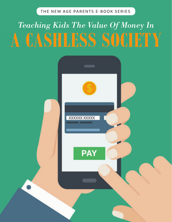THE NEW AGE PARENTS E-BOOK SERIES THE NEW AGE PARENTS E-BOOK SERIES How To Raise A Money-Smart Child

# *Teaching Kids The Value Of Money In*  **A CASHLESS SOCIETY**

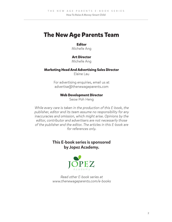### **The New Age Parents Team**

#### **Editor**

Michelle Ang

#### **Art Director**

Michelle Ang

#### **Marketing Head And Advertising Sales Director**

Elaine Lau

For advertising enquiries, email us at advertise@thenewageparents.com

#### **Web Development Director**

Seow Poh Heng

While every care is taken in the production of this E-book, the publisher, editor and its team assume no responsibility for any inaccuracies and omission, which might arise. Opinions by the editor, contributor and advertisers are not necessarily those of the publisher and the editor. The articles in this E-book are for references only.

#### This E-book series is sponsored by Jopez Academy.



Read other E-book series at www.thenewageparents.com/e-books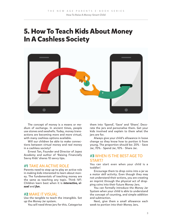## **5. How To Teach Kids About Money In A Cashless Society**



The concept of money is a means or medium of exchange. In ancient times, people use stones and seashells. Today, money transactions are becoming more and more virtual, with many cashless options available.

Will our children be able to make connections between virtual money and real money in a cashless society?

Ernest Tan, Founder and Director of Jopez Academy and author of 'Raising Financially Savvy Kids' shares 10 savvy tips.

#### **#1** TAKE AN ACTIVE ROLE

Parents need to step up to play an active role in making kids interested to learn about money. The fundamentals of teaching money are the same as teaching any topic. Think IVF: Children learn best when it is *interactive, visual* and *fun*.

#### **#2** MAKE IT VISUAL

Use the tangible to teach the intangible. Set up the Money Jar system.

You will need three jars for this. Categorise

them into 'Spend', 'Save' and 'Share'. Decorate the jars and personalise them. Get your kids involved and explain to them what the jars are for.

Always give your child's allowance in loose change so they know how to portion it from young. The proportion should be: 20% - Save Jar, 70% - Spend Jar, 10% - Share Jar.

#### **#3** WHEN IS THE BEST AGE TO START?

You can start even when your child is a toddler!

Encourage them to drop coins into a jar as a motor skill activity. Even though they may not understand their actions, you are creating an imprint through the physical act of dropping coins into their future Money Jars.

You can formally introduce the Money Jar System when your child is able to understand the concept of counting, and simple addition and subtraction.

Next, give them a small allowance each week to portion into their Money Jars.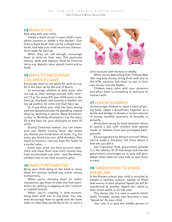How To Raise A Money-Smart Child

#### **#4** MAKE IT FUN

Role-play with your child.

Create a 'bank corner' in your child's room, where mummy or daddy is the 'banker'. Give them a 'bank book' (this can be a simple notebook) and help your child record any transactions made for each jar.

When they are old enough, encourage them to write on their own. This promotes literacy skills and exposes them to financial terms e.g. deposit, save, spend, invest and so forth.

#### **#5** WAYS TO ENCOURAGE CHILDREN TO SAVE

Encourage them to set goals for each jar e.g. \$5 in the Save Jar by the end of March.

To encourage children to save more, why not top up their savings amount with 'interest'? E.g. for every \$10 your child saves in the Save Jar, the bank (aka mummy or daddy) can top up another 20 cents into their Save Jar.

Or if you think your child has been saving well and disciplined with his spending, reward them by declaring a special 'Bank Anniversary Day' or 'Birthday Promotion'. E.g. for every \$5 in the Save Jar, your child gets an extra 10 cents.

During Christmas season, you can create your own family 'Charity Drive' day where you donate pre-loved items at home. E.g. for every pre-loved toy your child donates, they stand to receive a new toy from the 'bank' of a similar value.

Every year, print out their account statement and show them how much money they have accumulated over time. Just like adults, children love to see their accounts grow.

#### **#6** MAKE IT INTERACTIVE

Bring your child along to the bank or show them the process behind any online money transactions.

When you're showing them an online transaction, get them to make the final transaction by clicking or tapping on the 'confirm' or 'submit' button.

When you're creating a joint-account, bring them with you to the bank. You may even encourage them to speak with the bank teller on what they would like to do i.e. start a



joint-account with mummy or daddy.

When you're depositing their Chinese New Year ang pow money, bring them with you to the ATM machine. Get them to slot in their own money into the feeder.

Children learn more with your presence and when there is something or someone to interact with.

#### **#7** LEAD BY EXAMPLE

To encourage children to have a habit of giving back, adopt a beneficiary together as a family and pledge to donate a certain amount of money monthly, quarterly, bi-annually or annually.

Bring them along for food donation drives or spend a day with children with special needs or children from less privileged backgrounds.

Encourage them by doing it yourself. When you've made a donation, tell them about it and why you did it.

Get inspiration from government policies (i.e. Tax rebates, \$1-\$1 matching) and how the government encourages us to save and give. Adopt these ideas for your kids to spur them to save.

#### **#8** 'GRADUATING' TO A NEW SPEND JAR

If the Primary school your child is enrolled at adopts a cashless system, explain to them that money in their physical Spend Jar will be transferred to another 'Spend Jar', which is their smart watch or EZ link card.

This device (be it a card or watch) which holds 'invisible' money now becomes a new 'Spend Jar' for your child.

Your role is to play the middle person or